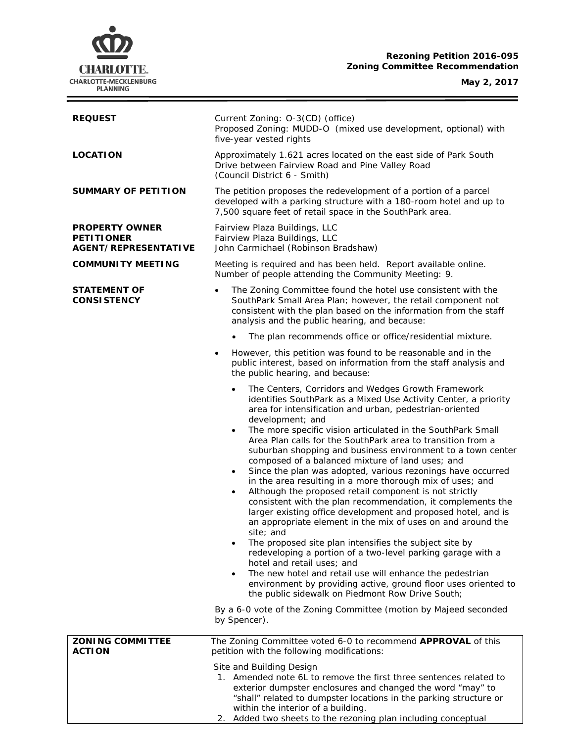# **Rezoning Petition 2016-095 Zoning Committee Recommendation**

**May 2, 2017**

 $\equiv$ 



| <b>REQUEST</b>                                                            | Current Zoning: O-3(CD) (office)<br>Proposed Zoning: MUDD-O (mixed use development, optional) with<br>five-year vested rights                                                                                                                                                                                                                                                                                                                                                                                                                                                                                                                                                                                                                                                                                                                                                                                                                                                                                                                                                                                                                                                                                                                                                                                                                                      |  |  |
|---------------------------------------------------------------------------|--------------------------------------------------------------------------------------------------------------------------------------------------------------------------------------------------------------------------------------------------------------------------------------------------------------------------------------------------------------------------------------------------------------------------------------------------------------------------------------------------------------------------------------------------------------------------------------------------------------------------------------------------------------------------------------------------------------------------------------------------------------------------------------------------------------------------------------------------------------------------------------------------------------------------------------------------------------------------------------------------------------------------------------------------------------------------------------------------------------------------------------------------------------------------------------------------------------------------------------------------------------------------------------------------------------------------------------------------------------------|--|--|
| <b>LOCATION</b>                                                           | Approximately 1.621 acres located on the east side of Park South<br>Drive between Fairview Road and Pine Valley Road<br>(Council District 6 - Smith)                                                                                                                                                                                                                                                                                                                                                                                                                                                                                                                                                                                                                                                                                                                                                                                                                                                                                                                                                                                                                                                                                                                                                                                                               |  |  |
| <b>SUMMARY OF PETITION</b>                                                | The petition proposes the redevelopment of a portion of a parcel<br>developed with a parking structure with a 180-room hotel and up to<br>7,500 square feet of retail space in the SouthPark area.                                                                                                                                                                                                                                                                                                                                                                                                                                                                                                                                                                                                                                                                                                                                                                                                                                                                                                                                                                                                                                                                                                                                                                 |  |  |
| <b>PROPERTY OWNER</b><br><b>PETITIONER</b><br><b>AGENT/REPRESENTATIVE</b> | Fairview Plaza Buildings, LLC<br>Fairview Plaza Buildings, LLC<br>John Carmichael (Robinson Bradshaw)                                                                                                                                                                                                                                                                                                                                                                                                                                                                                                                                                                                                                                                                                                                                                                                                                                                                                                                                                                                                                                                                                                                                                                                                                                                              |  |  |
| <b>COMMUNITY MEETING</b>                                                  | Meeting is required and has been held. Report available online.<br>Number of people attending the Community Meeting: 9.                                                                                                                                                                                                                                                                                                                                                                                                                                                                                                                                                                                                                                                                                                                                                                                                                                                                                                                                                                                                                                                                                                                                                                                                                                            |  |  |
| STATEMENT OF<br><b>CONSISTENCY</b>                                        | The Zoning Committee found the hotel use consistent with the<br>SouthPark Small Area Plan; however, the retail component not<br>consistent with the plan based on the information from the staff<br>analysis and the public hearing, and because:                                                                                                                                                                                                                                                                                                                                                                                                                                                                                                                                                                                                                                                                                                                                                                                                                                                                                                                                                                                                                                                                                                                  |  |  |
|                                                                           | The plan recommends office or office/residential mixture.<br>$\bullet$                                                                                                                                                                                                                                                                                                                                                                                                                                                                                                                                                                                                                                                                                                                                                                                                                                                                                                                                                                                                                                                                                                                                                                                                                                                                                             |  |  |
|                                                                           | However, this petition was found to be reasonable and in the<br>٠<br>public interest, based on information from the staff analysis and<br>the public hearing, and because:                                                                                                                                                                                                                                                                                                                                                                                                                                                                                                                                                                                                                                                                                                                                                                                                                                                                                                                                                                                                                                                                                                                                                                                         |  |  |
|                                                                           | The Centers, Corridors and Wedges Growth Framework<br>$\bullet$<br>identifies SouthPark as a Mixed Use Activity Center, a priority<br>area for intensification and urban, pedestrian-oriented<br>development; and<br>The more specific vision articulated in the SouthPark Small<br>$\bullet$<br>Area Plan calls for the SouthPark area to transition from a<br>suburban shopping and business environment to a town center<br>composed of a balanced mixture of land uses; and<br>Since the plan was adopted, various rezonings have occurred<br>$\bullet$<br>in the area resulting in a more thorough mix of uses; and<br>Although the proposed retail component is not strictly<br>$\bullet$<br>consistent with the plan recommendation, it complements the<br>larger existing office development and proposed hotel, and is<br>an appropriate element in the mix of uses on and around the<br>site; and<br>The proposed site plan intensifies the subject site by<br>$\bullet$<br>redeveloping a portion of a two-level parking garage with a<br>hotel and retail uses; and<br>The new hotel and retail use will enhance the pedestrian<br>$\bullet$<br>environment by providing active, ground floor uses oriented to<br>the public sidewalk on Piedmont Row Drive South;<br>By a 6-0 vote of the Zoning Committee (motion by Majeed seconded<br>by Spencer). |  |  |
| <b>ZONING COMMITTEE</b>                                                   | The Zoning Committee voted 6-0 to recommend APPROVAL of this                                                                                                                                                                                                                                                                                                                                                                                                                                                                                                                                                                                                                                                                                                                                                                                                                                                                                                                                                                                                                                                                                                                                                                                                                                                                                                       |  |  |
| <b>ACTION</b>                                                             | petition with the following modifications:                                                                                                                                                                                                                                                                                                                                                                                                                                                                                                                                                                                                                                                                                                                                                                                                                                                                                                                                                                                                                                                                                                                                                                                                                                                                                                                         |  |  |
|                                                                           | <b>Site and Building Design</b><br>1. Amended note 6L to remove the first three sentences related to<br>exterior dumpster enclosures and changed the word "may" to<br>"shall" related to dumpster locations in the parking structure or<br>within the interior of a building.<br>Added two sheets to the rezoning plan including conceptual<br>2.                                                                                                                                                                                                                                                                                                                                                                                                                                                                                                                                                                                                                                                                                                                                                                                                                                                                                                                                                                                                                  |  |  |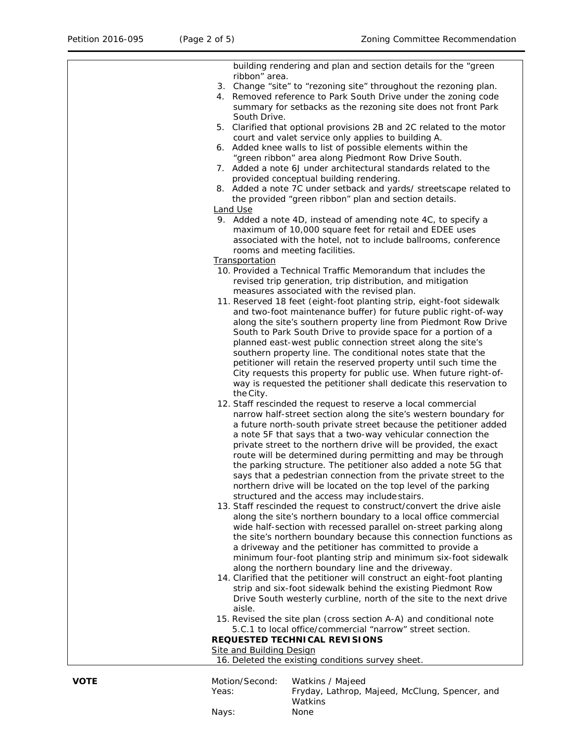| 16. Deleted the existing conditions survey sheet.                                                                                 |
|-----------------------------------------------------------------------------------------------------------------------------------|
| Site and Building Design                                                                                                          |
| <b>REQUESTED TECHNICAL REVISIONS</b>                                                                                              |
| 5.C.1 to local office/commercial "narrow" street section.                                                                         |
| 15. Revised the site plan (cross section A-A) and conditional note                                                                |
| aisle.                                                                                                                            |
| Drive South westerly curbline, north of the site to the next drive                                                                |
| strip and six-foot sidewalk behind the existing Piedmont Row                                                                      |
| 14. Clarified that the petitioner will construct an eight-foot planting                                                           |
| along the northern boundary line and the driveway.                                                                                |
| minimum four-foot planting strip and minimum six-foot sidewalk                                                                    |
| a driveway and the petitioner has committed to provide a                                                                          |
| the site's northern boundary because this connection functions as                                                                 |
| wide half-section with recessed parallel on-street parking along                                                                  |
| along the site's northern boundary to a local office commercial                                                                   |
| 13. Staff rescinded the request to construct/convert the drive aisle                                                              |
| structured and the access may include stairs.                                                                                     |
| northern drive will be located on the top level of the parking                                                                    |
| says that a pedestrian connection from the private street to the                                                                  |
| the parking structure. The petitioner also added a note 5G that                                                                   |
| route will be determined during permitting and may be through                                                                     |
| private street to the northern drive will be provided, the exact                                                                  |
| a note 5F that says that a two-way vehicular connection the                                                                       |
| a future north-south private street because the petitioner added                                                                  |
| 12. Staff rescinded the request to reserve a local commercial<br>narrow half-street section along the site's western boundary for |
| the City.                                                                                                                         |
| way is requested the petitioner shall dedicate this reservation to                                                                |
| City requests this property for public use. When future right-of-                                                                 |
| petitioner will retain the reserved property until such time the                                                                  |
| southern property line. The conditional notes state that the                                                                      |
| planned east-west public connection street along the site's                                                                       |
| South to Park South Drive to provide space for a portion of a                                                                     |
| along the site's southern property line from Piedmont Row Drive                                                                   |
| and two-foot maintenance buffer) for future public right-of-way                                                                   |
| 11. Reserved 18 feet (eight-foot planting strip, eight-foot sidewalk                                                              |
| measures associated with the revised plan.                                                                                        |
| revised trip generation, trip distribution, and mitigation                                                                        |
| 10. Provided a Technical Traffic Memorandum that includes the                                                                     |
| <b>Transportation</b>                                                                                                             |
| rooms and meeting facilities.                                                                                                     |
| associated with the hotel, not to include ballrooms, conference                                                                   |
| maximum of 10,000 square feet for retail and EDEE uses                                                                            |
| 9. Added a note 4D, instead of amending note 4C, to specify a                                                                     |
| <b>Land Use</b>                                                                                                                   |
| the provided "green ribbon" plan and section details.                                                                             |
| 8. Added a note 7C under setback and yards/ streetscape related to                                                                |
| provided conceptual building rendering.                                                                                           |
| 7. Added a note 6J under architectural standards related to the                                                                   |
| "green ribbon" area along Piedmont Row Drive South.                                                                               |
| court and valet service only applies to building A.<br>6. Added knee walls to list of possible elements within the                |
| 5. Clarified that optional provisions 2B and 2C related to the motor                                                              |
| South Drive.                                                                                                                      |
| summary for setbacks as the rezoning site does not front Park                                                                     |
| 4. Removed reference to Park South Drive under the zoning code                                                                    |
| 3. Change "site" to "rezoning site" throughout the rezoning plan.                                                                 |
| ribbon" area.                                                                                                                     |
| building rendering and plan and section details for the "green                                                                    |
|                                                                                                                                   |

| Motion/Second: | Watkins / Majeed                               |
|----------------|------------------------------------------------|
| Yeas:          | Fryday, Lathrop, Majeed, McClung, Spencer, and |
|                | <b>Watkins</b>                                 |
| Navs:          | None                                           |
|                |                                                |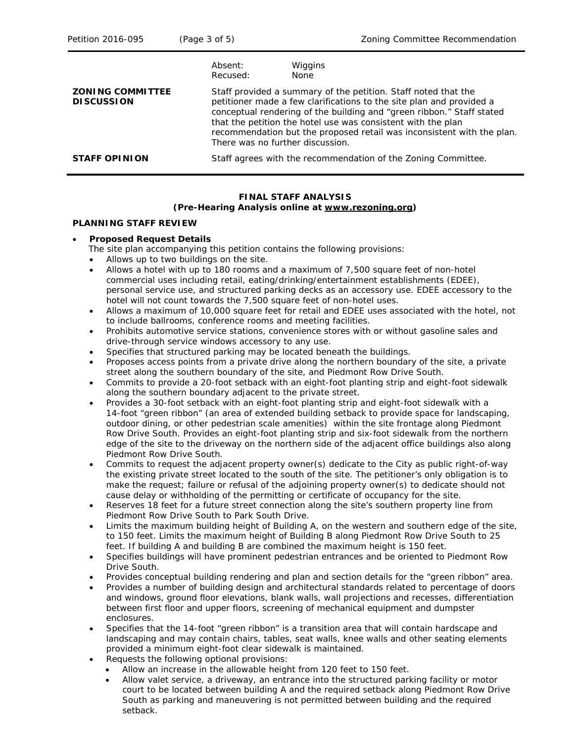|                                              | Absent:<br>Recused:              | Wiggins<br><b>None</b>                                                                                                                                                                                                                                                                                                                                    |
|----------------------------------------------|----------------------------------|-----------------------------------------------------------------------------------------------------------------------------------------------------------------------------------------------------------------------------------------------------------------------------------------------------------------------------------------------------------|
| <b>ZONING COMMITTEE</b><br><b>DISCUSSION</b> | There was no further discussion. | Staff provided a summary of the petition. Staff noted that the<br>petitioner made a few clarifications to the site plan and provided a<br>conceptual rendering of the building and "green ribbon." Staff stated<br>that the petition the hotel use was consistent with the plan<br>recommendation but the proposed retail was inconsistent with the plan. |
| <b>STAFF OPINION</b>                         |                                  | Staff agrees with the recommendation of the Zoning Committee.                                                                                                                                                                                                                                                                                             |

#### **FINAL STAFF ANALYSIS (Pre-Hearing Analysis online at [www.rezoning.org\)](http://www.rezoning.org/)**

### **PLANNING STAFF REVIEW**

### • **Proposed Request Details**

The site plan accompanying this petition contains the following provisions:

- Allows up to two buildings on the site.
- Allows a hotel with up to 180 rooms and a maximum of 7,500 square feet of non-hotel commercial uses including retail, eating/drinking/entertainment establishments (EDEE), personal service use, and structured parking decks as an accessory use. EDEE accessory to the hotel will not count towards the 7,500 square feet of non-hotel uses.
- Allows a maximum of 10,000 square feet for retail and EDEE uses associated with the hotel, not to include ballrooms, conference rooms and meeting facilities.
- Prohibits automotive service stations, convenience stores with or without gasoline sales and drive-through service windows accessory to any use.
- Specifies that structured parking may be located beneath the buildings.
- Proposes access points from a private drive along the northern boundary of the site, a private street along the southern boundary of the site, and Piedmont Row Drive South.
- Commits to provide a 20-foot setback with an eight-foot planting strip and eight-foot sidewalk along the southern boundary adjacent to the private street.
- Provides a 30-foot setback with an eight-foot planting strip and eight-foot sidewalk with a 14-foot "green ribbon" (an area of extended building setback to provide space for landscaping, outdoor dining, or other pedestrian scale amenities) within the site frontage along Piedmont Row Drive South. Provides an eight-foot planting strip and six-foot sidewalk from the northern edge of the site to the driveway on the northern side of the adjacent office buildings also along Piedmont Row Drive South.
- Commits to request the adjacent property owner(s) dedicate to the City as public right-of-way the existing private street located to the south of the site. The petitioner's only obligation is to make the request; failure or refusal of the adjoining property owner(s) to dedicate should not cause delay or withholding of the permitting or certificate of occupancy for the site.
- Reserves 18 feet for a future street connection along the site's southern property line from Piedmont Row Drive South to Park South Drive.
- Limits the maximum building height of Building A, on the western and southern edge of the site, to 150 feet. Limits the maximum height of Building B along Piedmont Row Drive South to 25 feet. If building A and building B are combined the maximum height is 150 feet.
- Specifies buildings will have prominent pedestrian entrances and be oriented to Piedmont Row Drive South.
- Provides conceptual building rendering and plan and section details for the "green ribbon" area.
- Provides a number of building design and architectural standards related to percentage of doors and windows, ground floor elevations, blank walls, wall projections and recesses, differentiation between first floor and upper floors, screening of mechanical equipment and dumpster enclosures.
- Specifies that the 14-foot "green ribbon" is a transition area that will contain hardscape and landscaping and may contain chairs, tables, seat walls, knee walls and other seating elements provided a minimum eight-foot clear sidewalk is maintained.
- Requests the following optional provisions:
	- Allow an increase in the allowable height from 120 feet to 150 feet.
	- Allow valet service, a driveway, an entrance into the structured parking facility or motor court to be located between building A and the required setback along Piedmont Row Drive South as parking and maneuvering is not permitted between building and the required setback.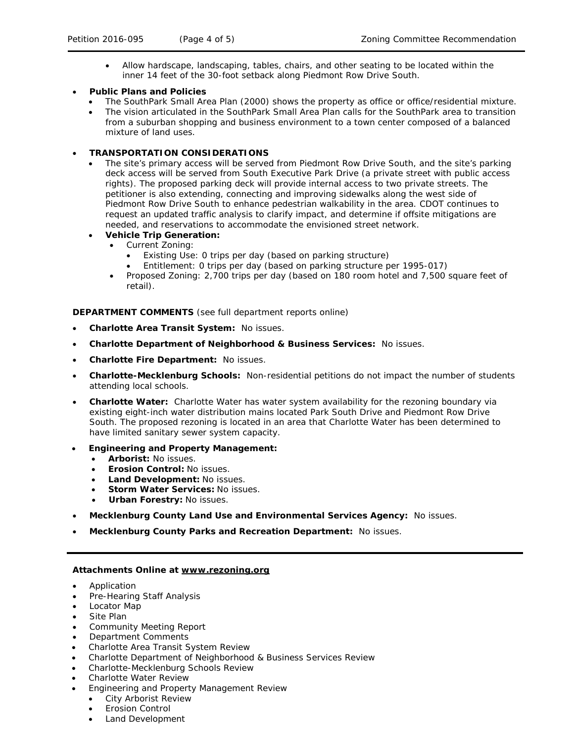- Allow hardscape, landscaping, tables, chairs, and other seating to be located within the inner 14 feet of the 30-foot setback along Piedmont Row Drive South.
- **Public Plans and Policies**
	- The *SouthPark Small Area* Plan (2000) shows the property as office or office/residential mixture.
	- The vision articulated in the *SouthPark Small Area Plan* calls for the SouthPark area to transition from a suburban shopping and business environment to a town center composed of a balanced mixture of land uses.

### • **TRANSPORTATION CONSIDERATIONS**

• The site's primary access will be served from Piedmont Row Drive South, and the site's parking deck access will be served from South Executive Park Drive (a private street with public access rights). The proposed parking deck will provide internal access to two private streets. The petitioner is also extending, connecting and improving sidewalks along the west side of Piedmont Row Drive South to enhance pedestrian walkability in the area. CDOT continues to request an updated traffic analysis to clarify impact, and determine if offsite mitigations are needed, and reservations to accommodate the envisioned street network.

## • **Vehicle Trip Generation:**

- Current Zoning:
	- Existing Use: 0 trips per day (based on parking structure)
	- Entitlement: 0 trips per day (based on parking structure per 1995-017)
- Proposed Zoning: 2,700 trips per day (based on 180 room hotel and 7,500 square feet of retail).

**DEPARTMENT COMMENTS** (see full department reports online)

- **Charlotte Area Transit System:** No issues.
- **Charlotte Department of Neighborhood & Business Services:** No issues.
- **Charlotte Fire Department:** No issues.
- **Charlotte-Mecklenburg Schools:** Non-residential petitions do not impact the number of students attending local schools.
- **Charlotte Water:** Charlotte Water has water system availability for the rezoning boundary via existing eight-inch water distribution mains located Park South Drive and Piedmont Row Drive South. The proposed rezoning is located in an area that Charlotte Water has been determined to have limited sanitary sewer system capacity.
- **Engineering and Property Management:**
	- **Arborist:** No issues.
	- **Erosion Control:** No issues.
	- **Land Development:** No issues.
	- **Storm Water Services:** No issues.
	- **Urban Forestry:** No issues.
- **Mecklenburg County Land Use and Environmental Services Agency:** No issues.
- **Mecklenburg County Parks and Recreation Department:** No issues.

# **Attachments Online at [www.rezoning.org](http://www.rezoning.org/)**

- **Application**
- Pre-Hearing Staff Analysis
- Locator Map
- Site Plan
- Community Meeting Report
- Department Comments
- Charlotte Area Transit System Review
- Charlotte Department of Neighborhood & Business Services Review
- Charlotte-Mecklenburg Schools Review
- Charlotte Water Review
- Engineering and Property Management Review
	- City Arborist Review
	- **Erosion Control**
	- Land Development